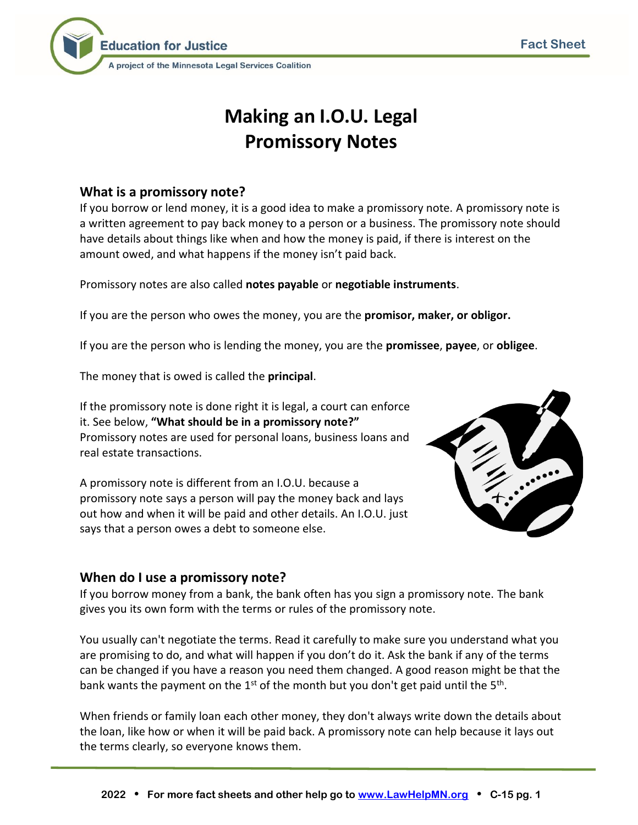

# **Making an I.O.U. Legal Promissory Notes**

## **What is a promissory note?**

If you borrow or lend money, it is a good idea to make a promissory note. A promissory note is a written agreement to pay back money to a person or a business. The promissory note should have details about things like when and how the money is paid, if there is interest on the amount owed, and what happens if the money isn't paid back.

Promissory notes are also called **notes payable** or **negotiable instruments**.

If you are the person who owes the money, you are the **promisor, maker, or obligor.** 

If you are the person who is lending the money, you are the **promissee**, **payee**, or **obligee**.

The money that is owed is called the **principal**.

If the promissory note is done right it is legal, a court can enforce it. See below, **"What should be in a promissory note?"** Promissory notes are used for personal loans, business loans and real estate transactions.

A promissory note is different from an I.O.U. because a promissory note says a person will pay the money back and lays out how and when it will be paid and other details. An I.O.U. just says that a person owes a debt to someone else.



## **When do I use a promissory note?**

If you borrow money from a bank, the bank often has you sign a promissory note. The bank gives you its own form with the terms or rules of the promissory note.

You usually can't negotiate the terms. Read it carefully to make sure you understand what you are promising to do, and what will happen if you don't do it. Ask the bank if any of the terms can be changed if you have a reason you need them changed. A good reason might be that the bank wants the payment on the 1<sup>st</sup> of the month but you don't get paid until the 5<sup>th</sup>.

When friends or family loan each other money, they don't always write down the details about the loan, like how or when it will be paid back. A promissory note can help because it lays out the terms clearly, so everyone knows them.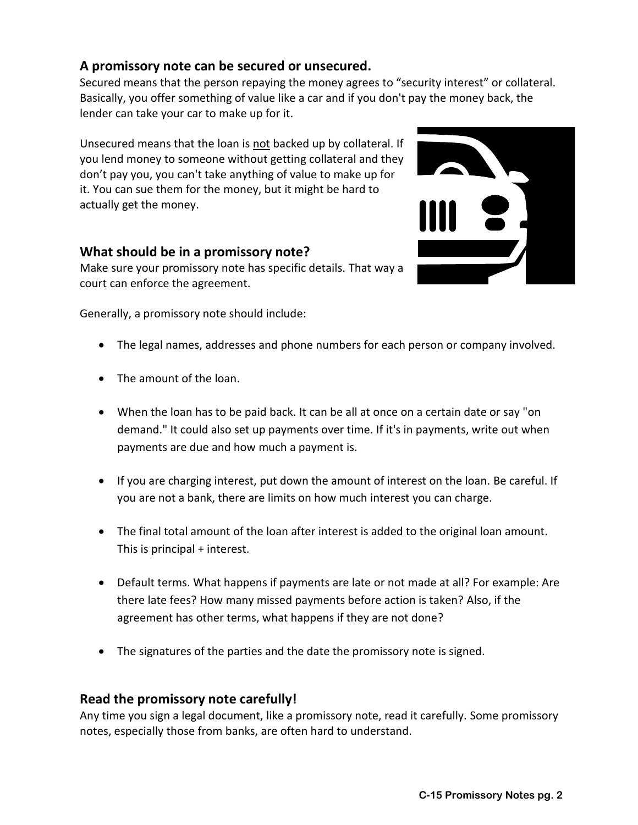# **A promissory note can be secured or unsecured.**

Secured means that the person repaying the money agrees to "security interest" or collateral. Basically, you offer something of value like a car and if you don't pay the money back, the lender can take your car to make up for it.

Unsecured means that the loan is not backed up by collateral. If you lend money to someone without getting collateral and they don't pay you, you can't take anything of value to make up for it. You can sue them for the money, but it might be hard to actually get the money.

## **What should be in a promissory note?**

Make sure your promissory note has specific details. That way a court can enforce the agreement.

Generally, a promissory note should include:

- The legal names, addresses and phone numbers for each person or company involved.
- The amount of the loan.
- When the loan has to be paid back. It can be all at once on a certain date or say "on demand." It could also set up payments over time. If it's in payments, write out when payments are due and how much a payment is.
- If you are charging interest, put down the amount of interest on the loan. Be careful. If you are not a bank, there are limits on how much interest you can charge.
- The final total amount of the loan after interest is added to the original loan amount. This is principal + interest.
- Default terms. What happens if payments are late or not made at all? For example: Are there late fees? How many missed payments before action is taken? Also, if the agreement has other terms, what happens if they are not done?
- The signatures of the parties and the date the promissory note is signed.

#### **Read the promissory note carefully!**

Any time you sign a legal document, like a promissory note, read it carefully. Some promissory notes, especially those from banks, are often hard to understand.